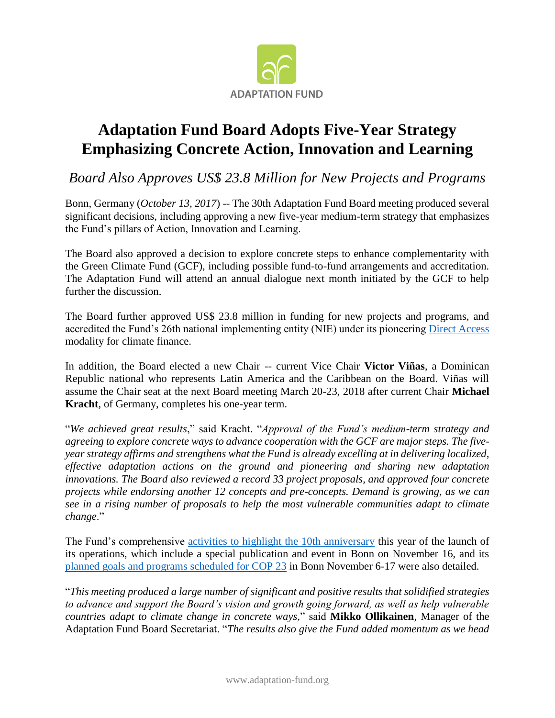

## **Adaptation Fund Board Adopts Five-Year Strategy Emphasizing Concrete Action, Innovation and Learning**

*Board Also Approves US\$ 23.8 Million for New Projects and Programs*

Bonn, Germany (*October 13, 2017*) -- The 30th Adaptation Fund Board meeting produced several significant decisions, including approving a new five-year medium-term strategy that emphasizes the Fund's pillars of Action, Innovation and Learning.

The Board also approved a decision to explore concrete steps to enhance complementarity with the Green Climate Fund (GCF), including possible fund-to-fund arrangements and accreditation. The Adaptation Fund will attend an annual dialogue next month initiated by the GCF to help further the discussion.

The Board further approved US\$ 23.8 million in funding for new projects and programs, and accredited the Fund's 26th national implementing entity (NIE) under its pioneering [Direct Access](https://www.adaptation-fund.org/about/direct-access/) modality for climate finance.

In addition, the Board elected a new Chair -- current Vice Chair **Victor Viñas**, a Dominican Republic national who represents Latin America and the Caribbean on the Board. Viñas will assume the Chair seat at the next Board meeting March 20-23, 2018 after current Chair **Michael Kracht**, of Germany, completes his one-year term.

"*We achieved great results*," said Kracht. "*Approval of the Fund's medium-term strategy and agreeing to explore concrete ways to advance cooperation with the GCF are major steps. The fiveyear strategy affirms and strengthens what the Fund is already excelling at in delivering localized, effective adaptation actions on the ground and pioneering and sharing new adaptation innovations. The Board also reviewed a record 33 project proposals, and approved four concrete projects while endorsing another 12 concepts and pre-concepts. Demand is growing, as we can see in a rising number of proposals to help the most vulnerable communities adapt to climate change*."

The Fund's comprehensive [activities to highlight the 10th anniversary](https://www.adaptation-fund.org/af-10-years/) this year of the launch of its operations, which include a special publication and event in Bonn on November 16, and its [planned goals and programs scheduled for COP 23](https://www.adaptation-fund.org/cop23/) in Bonn November 6-17 were also detailed.

"*This meeting produced a large number of significant and positive results that solidified strategies to advance and support the Board's vision and growth going forward, as well as help vulnerable countries adapt to climate change in concrete ways,*" said **Mikko Ollikainen**, Manager of the Adaptation Fund Board Secretariat. "*The results also give the Fund added momentum as we head*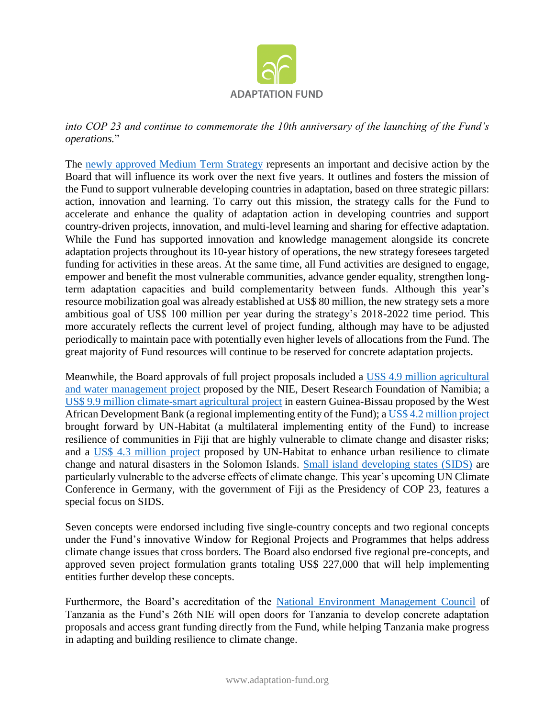

*into COP 23 and continue to commemorate the 10th anniversary of the launching of the Fund's operations.*"

The [newly approved Medium Term Strategy](https://www.adaptation-fund.org/document/draft-medium-term-strategy/) represents an important and decisive action by the Board that will influence its work over the next five years. It outlines and fosters the mission of the Fund to support vulnerable developing countries in adaptation, based on three strategic pillars: action, innovation and learning. To carry out this mission, the strategy calls for the Fund to accelerate and enhance the quality of adaptation action in developing countries and support country-driven projects, innovation, and multi-level learning and sharing for effective adaptation. While the Fund has supported innovation and knowledge management alongside its concrete adaptation projects throughout its 10-year history of operations, the new strategy foresees targeted funding for activities in these areas. At the same time, all Fund activities are designed to engage, empower and benefit the most vulnerable communities, advance gender equality, strengthen longterm adaptation capacities and build complementarity between funds. Although this year's resource mobilization goal was already established at US\$ 80 million, the new strategy sets a more ambitious goal of US\$ 100 million per year during the strategy's 2018-2022 time period. This more accurately reflects the current level of project funding, although may have to be adjusted periodically to maintain pace with potentially even higher levels of allocations from the Fund. The great majority of Fund resources will continue to be reserved for concrete adaptation projects.

Meanwhile, the Board approvals of full project proposals included a [US\\$ 4.9 million agricultural](https://www.adaptation-fund.org/project/pilot-rural-desalination-plants-using-renewable/)  [and water management project](https://www.adaptation-fund.org/project/pilot-rural-desalination-plants-using-renewable/) proposed by the NIE, Desert Research Foundation of Namibia; a [US\\$ 9.9 million climate-smart agricultural project](https://www.adaptation-fund.org/project/scaling-climate-smart-agriculture-east-guinea-bissau/) in eastern Guinea-Bissau proposed by the West African Development Bank (a regional implementing entity of the Fund); [a US\\$ 4.2 million project](https://www.adaptation-fund.org/project/increasing-resilience-informal-urban-settlements-fiji-highly-vulnerable-climate-change-disaster-risks-2/) brought forward by UN-Habitat (a multilateral implementing entity of the Fund) to increase resilience of communities in Fiji that are highly vulnerable to climate change and disaster risks; and a [US\\$ 4.3 million project](https://www.adaptation-fund.org/project/enhancing-urban-resilience-climate-change-impacts-natural-disasters-honiara-3/) proposed by UN-Habitat to enhance urban resilience to climate change and natural disasters in the Solomon Islands. [Small island developing states \(SIDS\)](https://sustainabledevelopment.un.org/topics/sids/list) are particularly vulnerable to the adverse effects of climate change. This year's upcoming UN Climate Conference in Germany, with the government of Fiji as the Presidency of COP 23, features a special focus on SIDS.

Seven concepts were endorsed including five single-country concepts and two regional concepts under the Fund's innovative Window for Regional Projects and Programmes that helps address climate change issues that cross borders. The Board also endorsed five regional pre-concepts, and approved seven project formulation grants totaling US\$ 227,000 that will help implementing entities further develop these concepts.

Furthermore, the Board's accreditation of the [National Environment Management Council](https://www.adaptation-fund.org/ie/national-environment-management-council-nemc/) of Tanzania as the Fund's 26th NIE will open doors for Tanzania to develop concrete adaptation proposals and access grant funding directly from the Fund, while helping Tanzania make progress in adapting and building resilience to climate change.